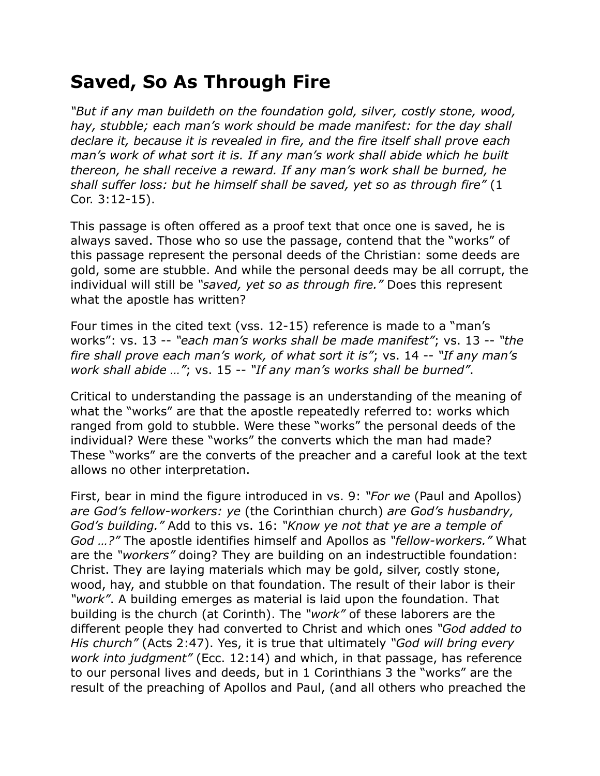## **Saved, So As Through Fire**

*"But if any man buildeth on the foundation gold, silver, costly stone, wood, hay, stubble; each man's work should be made manifest: for the day shall declare it, because it is revealed in fire, and the fire itself shall prove each man's work of what sort it is. If any man's work shall abide which he built thereon, he shall receive a reward. If any man's work shall be burned, he shall suffer loss: but he himself shall be saved, yet so as through fire"* (1 Cor. 3:12-15).

This passage is often offered as a proof text that once one is saved, he is always saved. Those who so use the passage, contend that the "works" of this passage represent the personal deeds of the Christian: some deeds are gold, some are stubble. And while the personal deeds may be all corrupt, the individual will still be *"saved, yet so as through fire."* Does this represent what the apostle has written?

Four times in the cited text (vss. 12-15) reference is made to a "man's works": vs. 13 -- *"each man's works shall be made manifest"*; vs. 13 -- *"the fire shall prove each man's work, of what sort it is"*; vs. 14 -- *"If any man's work shall abide …"*; vs. 15 -- *"If any man's works shall be burned"*.

Critical to understanding the passage is an understanding of the meaning of what the "works" are that the apostle repeatedly referred to: works which ranged from gold to stubble. Were these "works" the personal deeds of the individual? Were these "works" the converts which the man had made? These "works" are the converts of the preacher and a careful look at the text allows no other interpretation.

First, bear in mind the figure introduced in vs. 9: *"For we* (Paul and Apollos) *are God's fellow-workers: ye* (the Corinthian church) *are God's husbandry, God's building."* Add to this vs. 16: *"Know ye not that ye are a temple of God …?"* The apostle identifies himself and Apollos as *"fellow-workers."* What are the *"workers"* doing? They are building on an indestructible foundation: Christ. They are laying materials which may be gold, silver, costly stone, wood, hay, and stubble on that foundation. The result of their labor is their *"work"*. A building emerges as material is laid upon the foundation. That building is the church (at Corinth). The *"work"* of these laborers are the different people they had converted to Christ and which ones *"God added to His church"* (Acts 2:47). Yes, it is true that ultimately *"God will bring every work into judgment"* (Ecc. 12:14) and which, in that passage, has reference to our personal lives and deeds, but in 1 Corinthians 3 the "works" are the result of the preaching of Apollos and Paul, (and all others who preached the